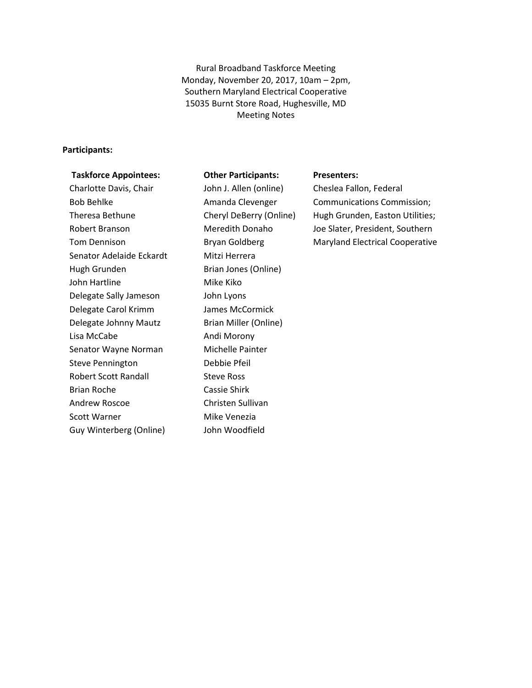Rural Broadband Taskforce Meeting Monday, November 20, 2017, 10am – 2pm, Southern Maryland Electrical Cooperative 15035 Burnt Store Road, Hughesville, MD Meeting Notes

#### **Participants:**

#### **Taskforce Appointees:**

#### **Other Participants:**

Charlotte Davis, Chair Bob Behlke Theresa Bethune Robert Branson Tom Dennison Senator Adelaide Eckardt Hugh Grunden John Hartline Delegate Sally Jameson Delegate Carol Krimm Delegate Johnny Mautz Lisa McCabe Senator Wayne Norman Steve Pennington Robert Scott Randall Brian Roche Andrew Roscoe Scott Warner Guy Winterberg (Online)

John J. Allen (online) Amanda Clevenger Cheryl DeBerry (Online) Meredith Donaho Bryan Goldberg Mitzi Herrera Brian Jones (Online) Mike Kiko John Lyons James McCormick Brian Miller (Online) Andi Morony Michelle Painter Debbie Pfeil Steve Ross Cassie Shirk Christen Sullivan Mike Venezia John Woodfield

#### **Presenters:**

Cheslea Fallon, Federal Communications Commission; Hugh Grunden, Easton Utilities; Joe Slater, President, Southern Maryland Electrical Cooperative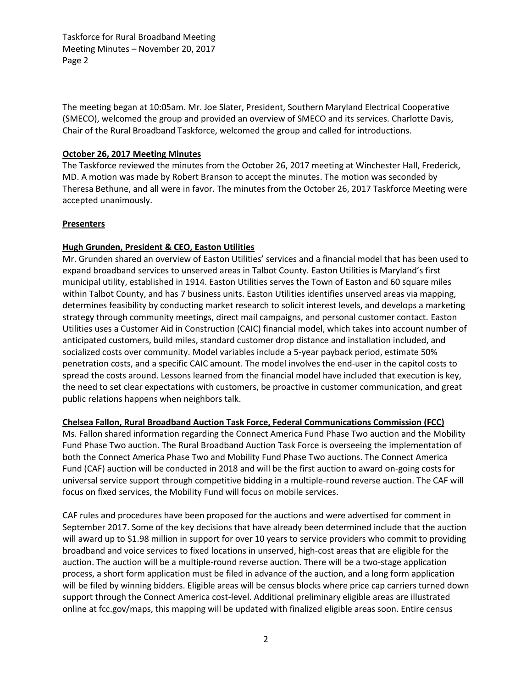Taskforce for Rural Broadband Meeting Meeting Minutes – November 20, 2017 Page 2

The meeting began at 10:05am. Mr. Joe Slater, President, Southern Maryland Electrical Cooperative (SMECO), welcomed the group and provided an overview of SMECO and its services. Charlotte Davis, Chair of the Rural Broadband Taskforce, welcomed the group and called for introductions.

## **October 26, 2017 Meeting Minutes**

The Taskforce reviewed the minutes from the October 26, 2017 meeting at Winchester Hall, Frederick, MD. A motion was made by Robert Branson to accept the minutes. The motion was seconded by Theresa Bethune, and all were in favor. The minutes from the October 26, 2017 Taskforce Meeting were accepted unanimously.

### **Presenters**

### **Hugh Grunden, President & CEO, Easton Utilities**

Mr. Grunden shared an overview of Easton Utilities' services and a financial model that has been used to expand broadband services to unserved areas in Talbot County. Easton Utilities is Maryland's first municipal utility, established in 1914. Easton Utilities serves the Town of Easton and 60 square miles within Talbot County, and has 7 business units. Easton Utilities identifies unserved areas via mapping, determines feasibility by conducting market research to solicit interest levels, and develops a marketing strategy through community meetings, direct mail campaigns, and personal customer contact. Easton Utilities uses a Customer Aid in Construction (CAIC) financial model, which takes into account number of anticipated customers, build miles, standard customer drop distance and installation included, and socialized costs over community. Model variables include a 5-year payback period, estimate 50% penetration costs, and a specific CAIC amount. The model involves the end-user in the capitol costs to spread the costs around. Lessons learned from the financial model have included that execution is key, the need to set clear expectations with customers, be proactive in customer communication, and great public relations happens when neighbors talk.

# **Chelsea Fallon, Rural Broadband Auction Task Force, Federal Communications Commission (FCC)**

Ms. Fallon shared information regarding the Connect America Fund Phase Two auction and the Mobility Fund Phase Two auction. The Rural Broadband Auction Task Force is overseeing the implementation of both the Connect America Phase Two and Mobility Fund Phase Two auctions. The Connect America Fund (CAF) auction will be conducted in 2018 and will be the first auction to award on-going costs for universal service support through competitive bidding in a multiple-round reverse auction. The CAF will focus on fixed services, the Mobility Fund will focus on mobile services.

CAF rules and procedures have been proposed for the auctions and were advertised for comment in September 2017. Some of the key decisions that have already been determined include that the auction will award up to \$1.98 million in support for over 10 years to service providers who commit to providing broadband and voice services to fixed locations in unserved, high-cost areas that are eligible for the auction. The auction will be a multiple-round reverse auction. There will be a two-stage application process, a short form application must be filed in advance of the auction, and a long form application will be filed by winning bidders. Eligible areas will be census blocks where price cap carriers turned down support through the Connect America cost-level. Additional preliminary eligible areas are illustrated online at fcc.gov/maps, this mapping will be updated with finalized eligible areas soon. Entire census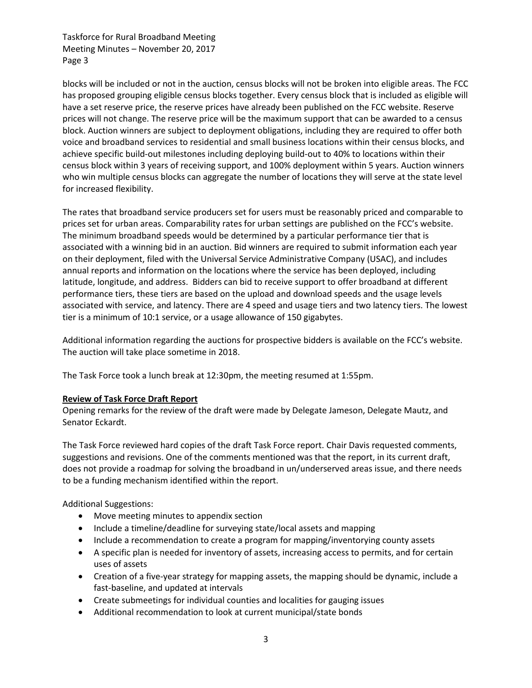Taskforce for Rural Broadband Meeting Meeting Minutes – November 20, 2017 Page 3

blocks will be included or not in the auction, census blocks will not be broken into eligible areas. The FCC has proposed grouping eligible census blocks together. Every census block that is included as eligible will have a set reserve price, the reserve prices have already been published on the FCC website. Reserve prices will not change. The reserve price will be the maximum support that can be awarded to a census block. Auction winners are subject to deployment obligations, including they are required to offer both voice and broadband services to residential and small business locations within their census blocks, and achieve specific build-out milestones including deploying build-out to 40% to locations within their census block within 3 years of receiving support, and 100% deployment within 5 years. Auction winners who win multiple census blocks can aggregate the number of locations they will serve at the state level for increased flexibility.

The rates that broadband service producers set for users must be reasonably priced and comparable to prices set for urban areas. Comparability rates for urban settings are published on the FCC's website. The minimum broadband speeds would be determined by a particular performance tier that is associated with a winning bid in an auction. Bid winners are required to submit information each year on their deployment, filed with the Universal Service Administrative Company (USAC), and includes annual reports and information on the locations where the service has been deployed, including latitude, longitude, and address. Bidders can bid to receive support to offer broadband at different performance tiers, these tiers are based on the upload and download speeds and the usage levels associated with service, and latency. There are 4 speed and usage tiers and two latency tiers. The lowest tier is a minimum of 10:1 service, or a usage allowance of 150 gigabytes.

Additional information regarding the auctions for prospective bidders is available on the FCC's website. The auction will take place sometime in 2018.

The Task Force took a lunch break at 12:30pm, the meeting resumed at 1:55pm.

# **Review of Task Force Draft Report**

Opening remarks for the review of the draft were made by Delegate Jameson, Delegate Mautz, and Senator Eckardt.

The Task Force reviewed hard copies of the draft Task Force report. Chair Davis requested comments, suggestions and revisions. One of the comments mentioned was that the report, in its current draft, does not provide a roadmap for solving the broadband in un/underserved areas issue, and there needs to be a funding mechanism identified within the report.

Additional Suggestions:

- Move meeting minutes to appendix section
- Include a timeline/deadline for surveying state/local assets and mapping
- Include a recommendation to create a program for mapping/inventorying county assets
- A specific plan is needed for inventory of assets, increasing access to permits, and for certain uses of assets
- Creation of a five-year strategy for mapping assets, the mapping should be dynamic, include a fast-baseline, and updated at intervals
- Create submeetings for individual counties and localities for gauging issues
- Additional recommendation to look at current municipal/state bonds